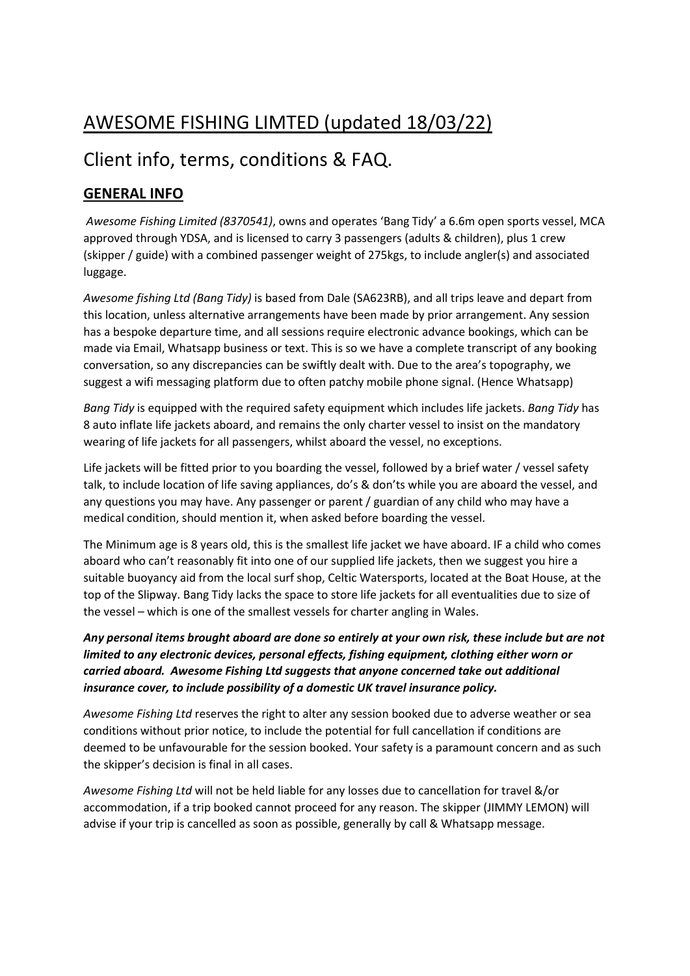# AWESOME FISHING LIMTED (updated 18/03/22)

## Client info, terms, conditions & FAQ.

### GENERAL INFO

 Awesome Fishing Limited (8370541), owns and operates 'Bang Tidy' a 6.6m open sports vessel, MCA approved through YDSA, and is licensed to carry 3 passengers (adults & children), plus 1 crew (skipper / guide) with a combined passenger weight of 275kgs, to include angler(s) and associated luggage.

Awesome fishing Ltd (Bang Tidy) is based from Dale (SA623RB), and all trips leave and depart from this location, unless alternative arrangements have been made by prior arrangement. Any session has a bespoke departure time, and all sessions require electronic advance bookings, which can be made via Email, Whatsapp business or text. This is so we have a complete transcript of any booking conversation, so any discrepancies can be swiftly dealt with. Due to the area's topography, we suggest a wifi messaging platform due to often patchy mobile phone signal. (Hence Whatsapp)

Bang Tidy is equipped with the required safety equipment which includes life jackets. Bang Tidy has 8 auto inflate life jackets aboard, and remains the only charter vessel to insist on the mandatory wearing of life jackets for all passengers, whilst aboard the vessel, no exceptions.

Life jackets will be fitted prior to you boarding the vessel, followed by a brief water / vessel safety talk, to include location of life saving appliances, do's & don'ts while you are aboard the vessel, and any questions you may have. Any passenger or parent / guardian of any child who may have a medical condition, should mention it, when asked before boarding the vessel.

The Minimum age is 8 years old, this is the smallest life jacket we have aboard. IF a child who comes aboard who can't reasonably fit into one of our supplied life jackets, then we suggest you hire a suitable buoyancy aid from the local surf shop, Celtic Watersports, located at the Boat House, at the top of the Slipway. Bang Tidy lacks the space to store life jackets for all eventualities due to size of the vessel – which is one of the smallest vessels for charter angling in Wales.

#### Any personal items brought aboard are done so entirely at your own risk, these include but are not limited to any electronic devices, personal effects, fishing equipment, clothing either worn or carried aboard. Awesome Fishing Ltd suggests that anyone concerned take out additional insurance cover, to include possibility of a domestic UK travel insurance policy.

Awesome Fishing Ltd reserves the right to alter any session booked due to adverse weather or sea conditions without prior notice, to include the potential for full cancellation if conditions are deemed to be unfavourable for the session booked. Your safety is a paramount concern and as such the skipper's decision is final in all cases.

Awesome Fishing Ltd will not be held liable for any losses due to cancellation for travel &/or accommodation, if a trip booked cannot proceed for any reason. The skipper (JIMMY LEMON) will advise if your trip is cancelled as soon as possible, generally by call & Whatsapp message.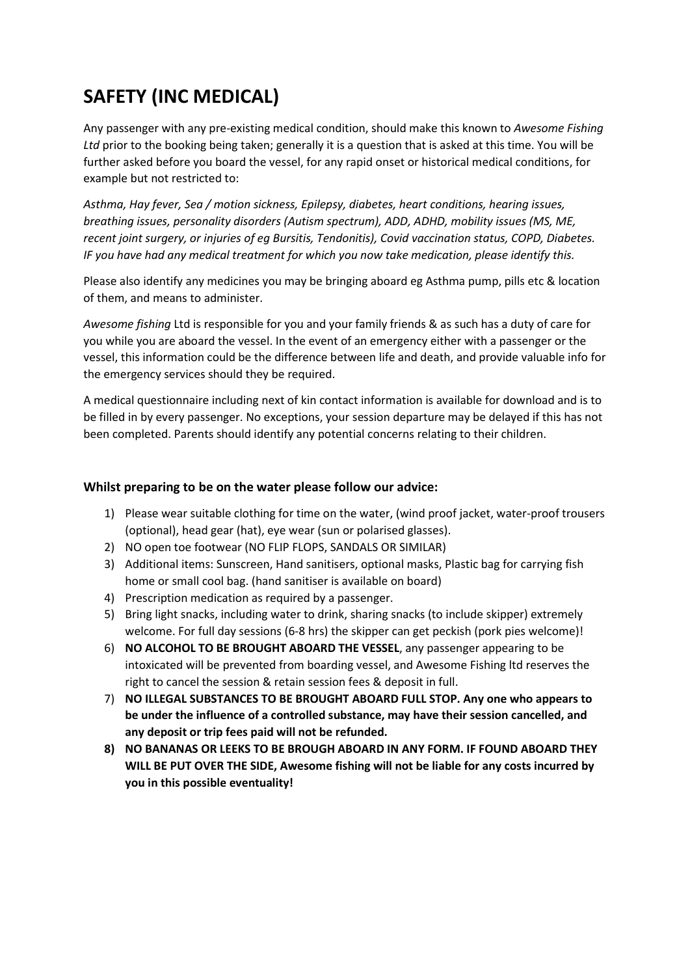# SAFETY (INC MEDICAL)

Any passenger with any pre-existing medical condition, should make this known to Awesome Fishing Ltd prior to the booking being taken; generally it is a question that is asked at this time. You will be further asked before you board the vessel, for any rapid onset or historical medical conditions, for example but not restricted to:

Asthma, Hay fever, Sea / motion sickness, Epilepsy, diabetes, heart conditions, hearing issues, breathing issues, personality disorders (Autism spectrum), ADD, ADHD, mobility issues (MS, ME, recent joint surgery, or injuries of eg Bursitis, Tendonitis), Covid vaccination status, COPD, Diabetes. IF you have had any medical treatment for which you now take medication, please identify this.

Please also identify any medicines you may be bringing aboard eg Asthma pump, pills etc & location of them, and means to administer.

Awesome fishing Ltd is responsible for you and your family friends & as such has a duty of care for you while you are aboard the vessel. In the event of an emergency either with a passenger or the vessel, this information could be the difference between life and death, and provide valuable info for the emergency services should they be required.

A medical questionnaire including next of kin contact information is available for download and is to be filled in by every passenger. No exceptions, your session departure may be delayed if this has not been completed. Parents should identify any potential concerns relating to their children.

#### Whilst preparing to be on the water please follow our advice:

- 1) Please wear suitable clothing for time on the water, (wind proof jacket, water-proof trousers (optional), head gear (hat), eye wear (sun or polarised glasses).
- 2) NO open toe footwear (NO FLIP FLOPS, SANDALS OR SIMILAR)
- 3) Additional items: Sunscreen, Hand sanitisers, optional masks, Plastic bag for carrying fish home or small cool bag. (hand sanitiser is available on board)
- 4) Prescription medication as required by a passenger.
- 5) Bring light snacks, including water to drink, sharing snacks (to include skipper) extremely welcome. For full day sessions (6-8 hrs) the skipper can get peckish (pork pies welcome)!
- 6) NO ALCOHOL TO BE BROUGHT ABOARD THE VESSEL, any passenger appearing to be intoxicated will be prevented from boarding vessel, and Awesome Fishing ltd reserves the right to cancel the session & retain session fees & deposit in full.
- 7) NO ILLEGAL SUBSTANCES TO BE BROUGHT ABOARD FULL STOP. Any one who appears to be under the influence of a controlled substance, may have their session cancelled, and any deposit or trip fees paid will not be refunded.
- 8) NO BANANAS OR LEEKS TO BE BROUGH ABOARD IN ANY FORM. IF FOUND ABOARD THEY WILL BE PUT OVER THE SIDE, Awesome fishing will not be liable for any costs incurred by you in this possible eventuality!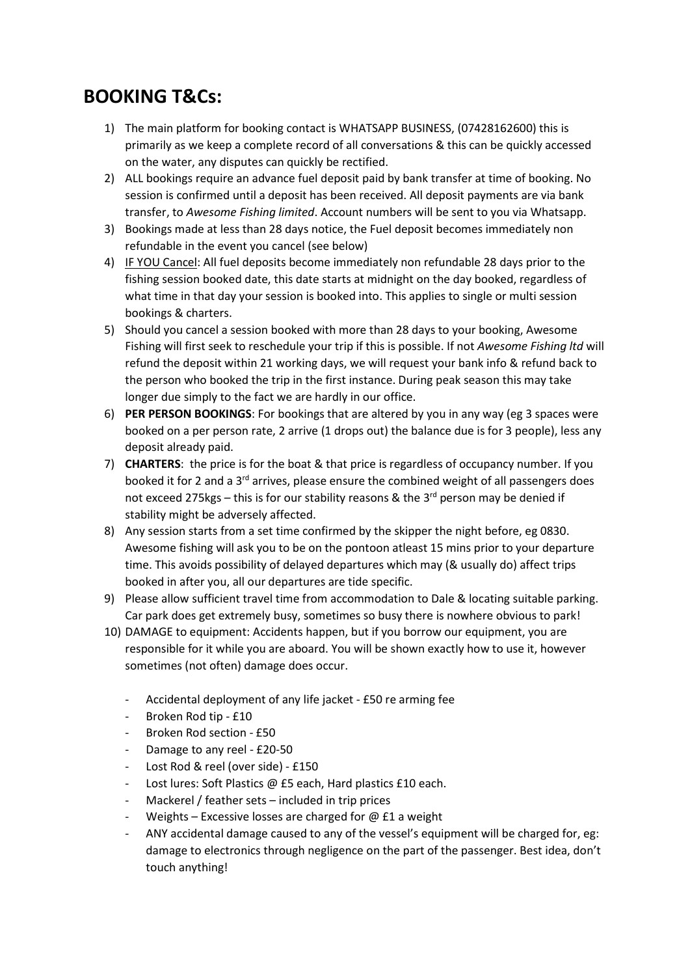### BOOKING T&Cs:

- 1) The main platform for booking contact is WHATSAPP BUSINESS, (07428162600) this is primarily as we keep a complete record of all conversations & this can be quickly accessed on the water, any disputes can quickly be rectified.
- 2) ALL bookings require an advance fuel deposit paid by bank transfer at time of booking. No session is confirmed until a deposit has been received. All deposit payments are via bank transfer, to Awesome Fishing limited. Account numbers will be sent to you via Whatsapp.
- 3) Bookings made at less than 28 days notice, the Fuel deposit becomes immediately non refundable in the event you cancel (see below)
- 4) IF YOU Cancel: All fuel deposits become immediately non refundable 28 days prior to the fishing session booked date, this date starts at midnight on the day booked, regardless of what time in that day your session is booked into. This applies to single or multi session bookings & charters.
- 5) Should you cancel a session booked with more than 28 days to your booking, Awesome Fishing will first seek to reschedule your trip if this is possible. If not Awesome Fishing Itd will refund the deposit within 21 working days, we will request your bank info & refund back to the person who booked the trip in the first instance. During peak season this may take longer due simply to the fact we are hardly in our office.
- 6) PER PERSON BOOKINGS: For bookings that are altered by you in any way (eg 3 spaces were booked on a per person rate, 2 arrive (1 drops out) the balance due is for 3 people), less any deposit already paid.
- 7) CHARTERS: the price is for the boat & that price is regardless of occupancy number. If you booked it for 2 and a  $3<sup>rd</sup>$  arrives, please ensure the combined weight of all passengers does not exceed 275kgs – this is for our stability reasons & the  $3^{rd}$  person may be denied if stability might be adversely affected.
- 8) Any session starts from a set time confirmed by the skipper the night before, eg 0830. Awesome fishing will ask you to be on the pontoon atleast 15 mins prior to your departure time. This avoids possibility of delayed departures which may (& usually do) affect trips booked in after you, all our departures are tide specific.
- 9) Please allow sufficient travel time from accommodation to Dale & locating suitable parking. Car park does get extremely busy, sometimes so busy there is nowhere obvious to park!
- 10) DAMAGE to equipment: Accidents happen, but if you borrow our equipment, you are responsible for it while you are aboard. You will be shown exactly how to use it, however sometimes (not often) damage does occur.
	- Accidental deployment of any life jacket £50 re arming fee
	- Broken Rod tip £10
	- Broken Rod section £50
	- Damage to any reel £20-50
	- Lost Rod & reel (over side) £150
	- Lost lures: Soft Plastics @ £5 each, Hard plastics £10 each.
	- Mackerel / feather sets  $-$  included in trip prices
	- Weights Excessive losses are charged for  $@$  £1 a weight
	- ANY accidental damage caused to any of the vessel's equipment will be charged for, eg: damage to electronics through negligence on the part of the passenger. Best idea, don't touch anything!